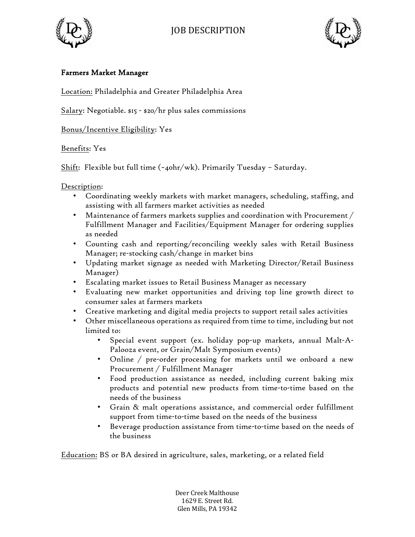



## Farmers Market Manager

Location: Philadelphia and Greater Philadelphia Area

Salary: Negotiable. \$15 - \$20/hr plus sales commissions

Bonus/Incentive Eligibility: Yes

Benefits: Yes

Shift: Flexible but full time  $(\sim_4$ ohr/wk). Primarily Tuesday - Saturday.

Description:

- Coordinating weekly markets with market managers, scheduling, staffing, and assisting with all farmers market activities as needed
- Maintenance of farmers markets supplies and coordination with Procurement  $/$ Fulfillment Manager and Facilities/Equipment Manager for ordering supplies as needed
- Counting cash and reporting/reconciling weekly sales with Retail Business Manager; re-stocking cash/change in market bins
- Updating market signage as needed with Marketing Director/Retail Business Manager)
- Escalating market issues to Retail Business Manager as necessary
- Evaluating new market opportunities and driving top line growth direct to consumer sales at farmers markets
- Creative marketing and digital media projects to support retail sales activities
- Other miscellaneous operations as required from time to time, including but not limited to:
	- Special event support (ex. holiday pop-up markets, annual Malt-A-Palooza event, or Grain/Malt Symposium events)
	- Online / pre-order processing for markets until we onboard a new Procurement / Fulfillment Manager
	- Food production assistance as needed, including current baking mix products and potential new products from time-to-time based on the needs of the business
	- Grain & malt operations assistance, and commercial order fulfillment support from time-to-time based on the needs of the business
	- Beverage production assistance from time-to-time based on the needs of the business

Education: BS or BA desired in agriculture, sales, marketing, or a related field

Deer Creek Malthouse 1629 E. Street Rd. Glen Mills, PA 19342